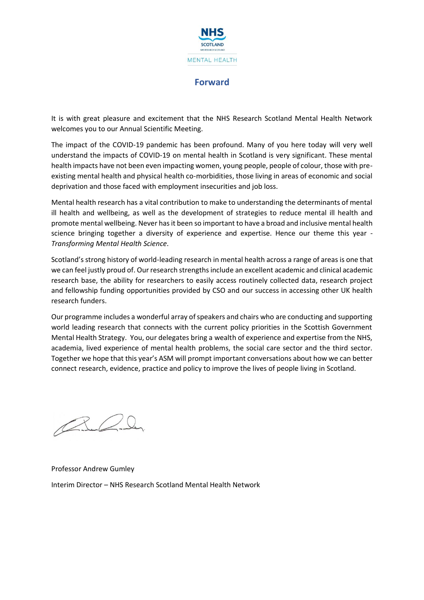

## **Forward**

It is with great pleasure and excitement that the NHS Research Scotland Mental Health Network welcomes you to our Annual Scientific Meeting.

The impact of the COVID-19 pandemic has been profound. Many of you here today will very well understand the impacts of COVID-19 on mental health in Scotland is very significant. These mental health impacts have not been even impacting women, young people, people of colour, those with preexisting mental health and physical health co-morbidities, those living in areas of economic and social deprivation and those faced with employment insecurities and job loss.

Mental health research has a vital contribution to make to understanding the determinants of mental ill health and wellbeing, as well as the development of strategies to reduce mental ill health and promote mental wellbeing. Never has it been so important to have a broad and inclusive mental health science bringing together a diversity of experience and expertise. Hence our theme this year - *Transforming Mental Health Science*.

Scotland's strong history of world-leading research in mental health across a range of areas is one that we can feel justly proud of. Our research strengths include an excellent academic and clinical academic research base, the ability for researchers to easily access routinely collected data, research project and fellowship funding opportunities provided by CSO and our success in accessing other UK health research funders.

Our programme includes a wonderful array of speakers and chairs who are conducting and supporting world leading research that connects with the current policy priorities in the Scottish Government Mental Health Strategy. You, our delegates bring a wealth of experience and expertise from the NHS, academia, lived experience of mental health problems, the social care sector and the third sector. Together we hope that this year's ASM will prompt important conversations about how we can better connect research, evidence, practice and policy to improve the lives of people living in Scotland.

 $\mathbb{Z}$ 

Professor Andrew Gumley Interim Director – NHS Research Scotland Mental Health Network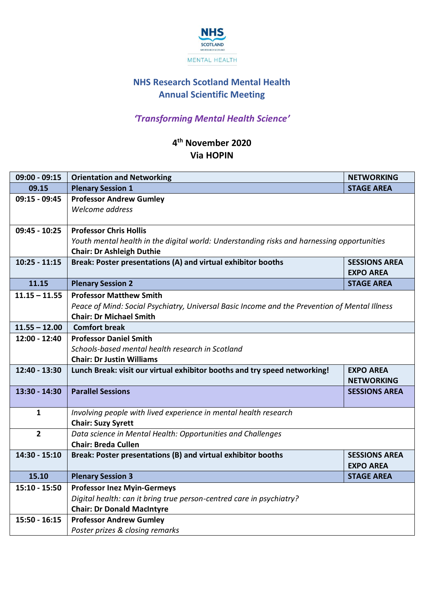

# **NHS Research Scotland Mental Health Annual Scientific Meeting**

# *'Transforming Mental Health Science'*

## **4 th November 2020 Via HOPIN**

| <b>Orientation and Networking</b>                                                             | <b>NETWORKING</b>                                                                                                                                                                                                                                                                                                                                                                                                                                                                                                                                                                                                                                                                                                                                                                       |  |  |
|-----------------------------------------------------------------------------------------------|-----------------------------------------------------------------------------------------------------------------------------------------------------------------------------------------------------------------------------------------------------------------------------------------------------------------------------------------------------------------------------------------------------------------------------------------------------------------------------------------------------------------------------------------------------------------------------------------------------------------------------------------------------------------------------------------------------------------------------------------------------------------------------------------|--|--|
| <b>Plenary Session 1</b>                                                                      | <b>STAGE AREA</b>                                                                                                                                                                                                                                                                                                                                                                                                                                                                                                                                                                                                                                                                                                                                                                       |  |  |
| <b>Professor Andrew Gumley</b>                                                                |                                                                                                                                                                                                                                                                                                                                                                                                                                                                                                                                                                                                                                                                                                                                                                                         |  |  |
| Welcome address                                                                               |                                                                                                                                                                                                                                                                                                                                                                                                                                                                                                                                                                                                                                                                                                                                                                                         |  |  |
|                                                                                               |                                                                                                                                                                                                                                                                                                                                                                                                                                                                                                                                                                                                                                                                                                                                                                                         |  |  |
| <b>Professor Chris Hollis</b>                                                                 |                                                                                                                                                                                                                                                                                                                                                                                                                                                                                                                                                                                                                                                                                                                                                                                         |  |  |
| Youth mental health in the digital world: Understanding risks and harnessing opportunities    |                                                                                                                                                                                                                                                                                                                                                                                                                                                                                                                                                                                                                                                                                                                                                                                         |  |  |
|                                                                                               |                                                                                                                                                                                                                                                                                                                                                                                                                                                                                                                                                                                                                                                                                                                                                                                         |  |  |
|                                                                                               | <b>SESSIONS AREA</b><br><b>EXPO AREA</b>                                                                                                                                                                                                                                                                                                                                                                                                                                                                                                                                                                                                                                                                                                                                                |  |  |
| <b>Plenary Session 2</b>                                                                      | <b>STAGE AREA</b>                                                                                                                                                                                                                                                                                                                                                                                                                                                                                                                                                                                                                                                                                                                                                                       |  |  |
| <b>Professor Matthew Smith</b>                                                                |                                                                                                                                                                                                                                                                                                                                                                                                                                                                                                                                                                                                                                                                                                                                                                                         |  |  |
| Peace of Mind: Social Psychiatry, Universal Basic Income and the Prevention of Mental Illness |                                                                                                                                                                                                                                                                                                                                                                                                                                                                                                                                                                                                                                                                                                                                                                                         |  |  |
| <b>Chair: Dr Michael Smith</b>                                                                |                                                                                                                                                                                                                                                                                                                                                                                                                                                                                                                                                                                                                                                                                                                                                                                         |  |  |
| <b>Comfort break</b>                                                                          |                                                                                                                                                                                                                                                                                                                                                                                                                                                                                                                                                                                                                                                                                                                                                                                         |  |  |
| <b>Professor Daniel Smith</b>                                                                 |                                                                                                                                                                                                                                                                                                                                                                                                                                                                                                                                                                                                                                                                                                                                                                                         |  |  |
|                                                                                               |                                                                                                                                                                                                                                                                                                                                                                                                                                                                                                                                                                                                                                                                                                                                                                                         |  |  |
|                                                                                               |                                                                                                                                                                                                                                                                                                                                                                                                                                                                                                                                                                                                                                                                                                                                                                                         |  |  |
|                                                                                               | <b>EXPO AREA</b><br><b>NETWORKING</b>                                                                                                                                                                                                                                                                                                                                                                                                                                                                                                                                                                                                                                                                                                                                                   |  |  |
| <b>Parallel Sessions</b>                                                                      | <b>SESSIONS AREA</b>                                                                                                                                                                                                                                                                                                                                                                                                                                                                                                                                                                                                                                                                                                                                                                    |  |  |
|                                                                                               |                                                                                                                                                                                                                                                                                                                                                                                                                                                                                                                                                                                                                                                                                                                                                                                         |  |  |
|                                                                                               |                                                                                                                                                                                                                                                                                                                                                                                                                                                                                                                                                                                                                                                                                                                                                                                         |  |  |
|                                                                                               |                                                                                                                                                                                                                                                                                                                                                                                                                                                                                                                                                                                                                                                                                                                                                                                         |  |  |
|                                                                                               |                                                                                                                                                                                                                                                                                                                                                                                                                                                                                                                                                                                                                                                                                                                                                                                         |  |  |
|                                                                                               | <b>SESSIONS AREA</b>                                                                                                                                                                                                                                                                                                                                                                                                                                                                                                                                                                                                                                                                                                                                                                    |  |  |
|                                                                                               | <b>EXPO AREA</b>                                                                                                                                                                                                                                                                                                                                                                                                                                                                                                                                                                                                                                                                                                                                                                        |  |  |
|                                                                                               | <b>STAGE AREA</b>                                                                                                                                                                                                                                                                                                                                                                                                                                                                                                                                                                                                                                                                                                                                                                       |  |  |
|                                                                                               |                                                                                                                                                                                                                                                                                                                                                                                                                                                                                                                                                                                                                                                                                                                                                                                         |  |  |
|                                                                                               |                                                                                                                                                                                                                                                                                                                                                                                                                                                                                                                                                                                                                                                                                                                                                                                         |  |  |
|                                                                                               |                                                                                                                                                                                                                                                                                                                                                                                                                                                                                                                                                                                                                                                                                                                                                                                         |  |  |
|                                                                                               |                                                                                                                                                                                                                                                                                                                                                                                                                                                                                                                                                                                                                                                                                                                                                                                         |  |  |
|                                                                                               |                                                                                                                                                                                                                                                                                                                                                                                                                                                                                                                                                                                                                                                                                                                                                                                         |  |  |
|                                                                                               | <b>Chair: Dr Ashleigh Duthie</b><br>Break: Poster presentations (A) and virtual exhibitor booths<br>Schools-based mental health research in Scotland<br><b>Chair: Dr Justin Williams</b><br>Lunch Break: visit our virtual exhibitor booths and try speed networking!<br>Involving people with lived experience in mental health research<br><b>Chair: Suzy Syrett</b><br>Data science in Mental Health: Opportunities and Challenges<br><b>Chair: Breda Cullen</b><br>Break: Poster presentations (B) and virtual exhibitor booths<br><b>Plenary Session 3</b><br><b>Professor Inez Myin-Germeys</b><br>Digital health: can it bring true person-centred care in psychiatry?<br><b>Chair: Dr Donald MacIntyre</b><br><b>Professor Andrew Gumley</b><br>Poster prizes & closing remarks |  |  |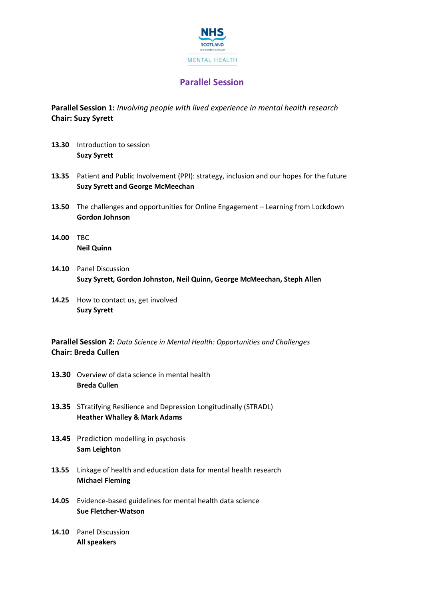

## **Parallel Session**

**Parallel Session 1:** *Involving people with lived experience in mental health research* **Chair: Suzy Syrett**

- **13.30** Introduction to session **Suzy Syrett**
- **13.35** Patient and Public Involvement (PPI): strategy, inclusion and our hopes for the future **Suzy Syrett and George McMeechan**
- **13.50** The challenges and opportunities for Online Engagement Learning from Lockdown **Gordon Johnson**
- **14.00** TBC **Neil Quinn**
- **14.10** Panel Discussion **Suzy Syrett, Gordon Johnston, Neil Quinn, George McMeechan, Steph Allen**
- **14.25** How to contact us, get involved **Suzy Syrett**

**Parallel Session 2:** *Data Science in Mental Health: Opportunities and Challenges* **Chair: Breda Cullen**

- **13.30** Overview of data science in mental health **Breda Cullen**
- **13.35** STratifying Resilience and Depression Longitudinally (STRADL) **Heather Whalley & Mark Adams**
- 13.45 Prediction modelling in psychosis **Sam Leighton**
- **13.55** Linkage of health and education data for mental health research **Michael Fleming**
- **14.05** Evidence-based guidelines for mental health data science **Sue Fletcher-Watson**
- **14.10** Panel Discussion **All speakers**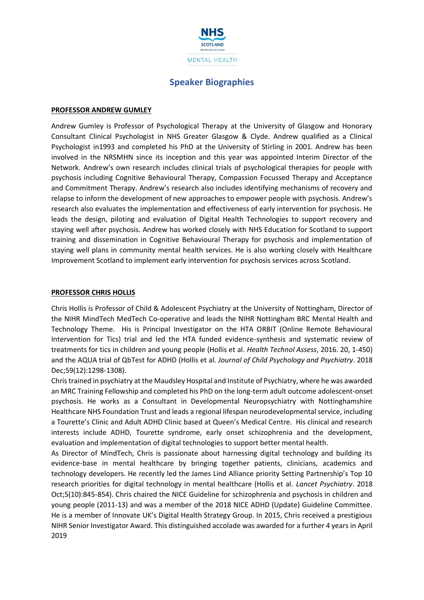

## **Speaker Biographies**

#### **PROFESSOR ANDREW GUMLEY**

Andrew Gumley is Professor of Psychological Therapy at the University of Glasgow and Honorary Consultant Clinical Psychologist in NHS Greater Glasgow & Clyde. Andrew qualified as a Clinical Psychologist in1993 and completed his PhD at the University of Stirling in 2001. Andrew has been involved in the NRSMHN since its inception and this year was appointed Interim Director of the Network. Andrew's own research includes clinical trials of psychological therapies for people with psychosis including Cognitive Behavioural Therapy, Compassion Focussed Therapy and Acceptance and Commitment Therapy. Andrew's research also includes identifying mechanisms of recovery and relapse to inform the development of new approaches to empower people with psychosis. Andrew's research also evaluates the implementation and effectiveness of early intervention for psychosis. He leads the design, piloting and evaluation of Digital Health Technologies to support recovery and staying well after psychosis. Andrew has worked closely with NHS Education for Scotland to support training and dissemination in Cognitive Behavioural Therapy for psychosis and implementation of staying well plans in community mental health services. He is also working closely with Healthcare Improvement Scotland to implement early intervention for psychosis services across Scotland.

#### **PROFESSOR CHRIS HOLLIS**

Chris Hollis is Professor of Child & Adolescent Psychiatry at the University of Nottingham, Director of the NIHR MindTech MedTech Co-operative and leads the NIHR Nottingham BRC Mental Health and Technology Theme. His is Principal Investigator on the HTA ORBIT (Online Remote Behavioural Intervention for Tics) trial and led the HTA funded evidence-synthesis and systematic review of treatments for tics in children and young people (Hollis et al. *Health Technol Assess*, 2016. 20, 1-450) and the AQUA trial of QbTest for ADHD (Hollis et al. *Journal of Child Psychology and Psychiatry*. 2018 Dec;59(12):1298-1308).

Chris trained in psychiatry at the Maudsley Hospital and Institute of Psychiatry, where he was awarded an MRC Training Fellowship and completed his PhD on the long-term adult outcome adolescent-onset psychosis. He works as a Consultant in Developmental Neuropsychiatry with Nottinghamshire Healthcare NHS Foundation Trust and leads a regional lifespan neurodevelopmental service, including a Tourette's Clinic and Adult ADHD Clinic based at Queen's Medical Centre. His clinical and research interests include ADHD, Tourette syndrome, early onset schizophrenia and the development, evaluation and implementation of digital technologies to support better mental health.

As Director of MindTech, Chris is passionate about harnessing digital technology and building its evidence-base in mental healthcare by bringing together patients, clinicians, academics and technology developers. He recently led the James Lind Alliance priority Setting Partnership's Top 10 research priorities for digital technology in mental healthcare (Hollis et al. *Lancet Psychiatry*. 2018 Oct;5(10):845-854). Chris chaired the NICE Guideline for schizophrenia and psychosis in children and young people (2011-13) and was a member of the 2018 NICE ADHD (Update) Guideline Committee. He is a member of Innovate UK's Digital Health Strategy Group. In 2015, Chris received a prestigious NIHR Senior Investigator Award. This distinguished accolade was awarded for a further 4 years in April 2019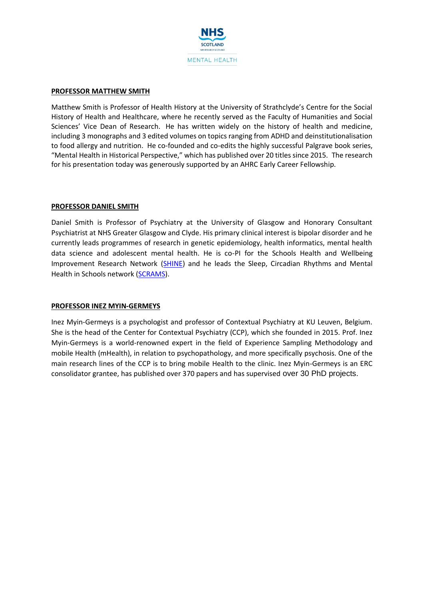

#### **PROFESSOR MATTHEW SMITH**

Matthew Smith is Professor of Health History at the University of Strathclyde's Centre for the Social History of Health and Healthcare, where he recently served as the Faculty of Humanities and Social Sciences' Vice Dean of Research. He has written widely on the history of health and medicine, including 3 monographs and 3 edited volumes on topics ranging from ADHD and deinstitutionalisation to food allergy and nutrition. He co-founded and co-edits the highly successful Palgrave book series, "Mental Health in Historical Perspective," which has published over 20 titles since 2015. The research for his presentation today was generously supported by an AHRC Early Career Fellowship.

#### **PROFESSOR DANIEL SMITH**

Daniel Smith is Professor of Psychiatry at the University of Glasgow and Honorary Consultant Psychiatrist at NHS Greater Glasgow and Clyde. His primary clinical interest is bipolar disorder and he currently leads programmes of research in genetic epidemiology, health informatics, mental health data science and adolescent mental health. He is co-PI for the Schools Health and Wellbeing Improvement Research Network [\(SHINE\)](https://shine.sphsu.gla.ac.uk/) and he leads the Sleep, Circadian Rhythms and Mental Health in Schools network [\(SCRAMS\)](http://scrams.sphsu.gla.ac.uk/).

#### **PROFESSOR INEZ MYIN-GERMEYS**

Inez Myin-Germeys is a psychologist and professor of Contextual Psychiatry at KU Leuven, Belgium. She is the head of the Center for Contextual Psychiatry (CCP), which she founded in 2015. Prof. Inez Myin-Germeys is a world-renowned expert in the field of Experience Sampling Methodology and mobile Health (mHealth), in relation to psychopathology, and more specifically psychosis. One of the main research lines of the CCP is to bring mobile Health to the clinic. Inez Myin-Germeys is an ERC consolidator grantee, has published over 370 papers and has supervised over 30 PhD projects.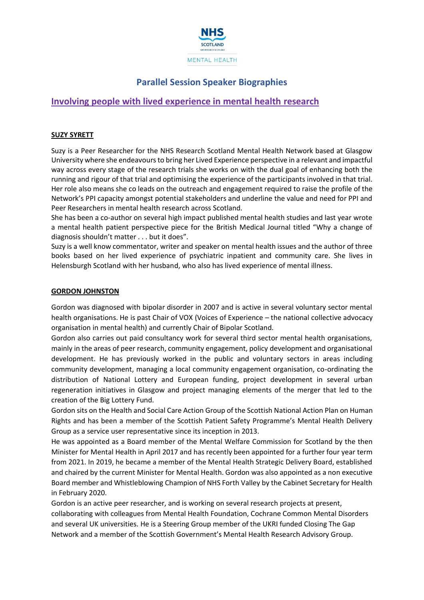

## **Parallel Session Speaker Biographies**

### **Involving people with lived experience in mental health research**

#### **SUZY SYRETT**

Suzy is a Peer Researcher for the NHS Research Scotland Mental Health Network based at Glasgow University where she endeavours to bring her Lived Experience perspective in a relevant and impactful way across every stage of the research trials she works on with the dual goal of enhancing both the running and rigour of that trial and optimising the experience of the participants involved in that trial. Her role also means she co leads on the outreach and engagement required to raise the profile of the Network's PPI capacity amongst potential stakeholders and underline the value and need for PPI and Peer Researchers in mental health research across Scotland.

She has been a co-author on several high impact published mental health studies and last year wrote a mental health patient perspective piece for the British Medical Journal titled "Why a change of diagnosis shouldn't matter . . . but it does".

Suzy is a well know commentator, writer and speaker on mental health issues and the author of three books based on her lived experience of psychiatric inpatient and community care. She lives in Helensburgh Scotland with her husband, who also has lived experience of mental illness.

#### **GORDON JOHNSTON**

Gordon was diagnosed with bipolar disorder in 2007 and is active in several voluntary sector mental health organisations. He is past Chair of VOX (Voices of Experience – the national collective advocacy organisation in mental health) and currently Chair of Bipolar Scotland.

Gordon also carries out paid consultancy work for several third sector mental health organisations, mainly in the areas of peer research, community engagement, policy development and organisational development. He has previously worked in the public and voluntary sectors in areas including community development, managing a local community engagement organisation, co-ordinating the distribution of National Lottery and European funding, project development in several urban regeneration initiatives in Glasgow and project managing elements of the merger that led to the creation of the Big Lottery Fund.

Gordon sits on the Health and Social Care Action Group of the Scottish National Action Plan on Human Rights and has been a member of the Scottish Patient Safety Programme's Mental Health Delivery Group as a service user representative since its inception in 2013.

He was appointed as a Board member of the Mental Welfare Commission for Scotland by the then Minister for Mental Health in April 2017 and has recently been appointed for a further four year term from 2021. In 2019, he became a member of the Mental Health Strategic Delivery Board, established and chaired by the current Minister for Mental Health. Gordon was also appointed as a non executive Board member and Whistleblowing Champion of NHS Forth Valley by the Cabinet Secretary for Health in February 2020.

Gordon is an active peer researcher, and is working on several research projects at present, collaborating with colleagues from Mental Health Foundation, Cochrane Common Mental Disorders and several UK universities. He is a Steering Group member of the UKRI funded Closing The Gap Network and a member of the Scottish Government's Mental Health Research Advisory Group.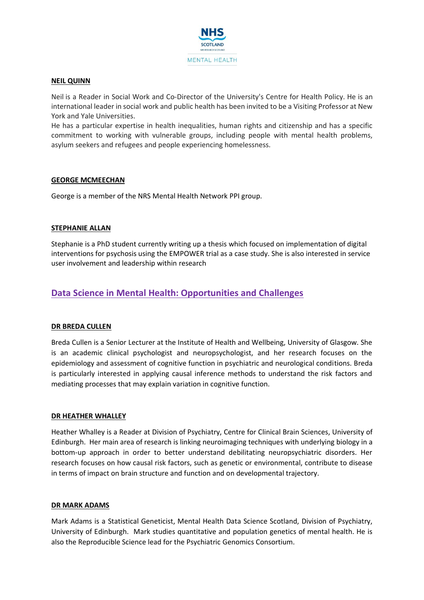

#### **NEIL QUINN**

Neil is a Reader in Social Work and Co-Director of the University's Centre for Health Policy. He is an international leader in social work and public health has been invited to be a Visiting Professor at New York and Yale Universities.

He has a particular expertise in health inequalities, human rights and citizenship and has a specific commitment to working with vulnerable groups, including people with mental health problems, asylum seekers and refugees and people experiencing homelessness.

#### **GEORGE MCMEECHAN**

George is a member of the NRS Mental Health Network PPI group.

#### **STEPHANIE ALLAN**

Stephanie is a PhD student currently writing up a thesis which focused on implementation of digital interventions for psychosis using the EMPOWER trial as a case study. She is also interested in service user involvement and leadership within research

## **Data Science in Mental Health: Opportunities and Challenges**

#### **DR BREDA CULLEN**

Breda Cullen is a Senior Lecturer at the Institute of Health and Wellbeing, University of Glasgow. She is an academic clinical psychologist and neuropsychologist, and her research focuses on the epidemiology and assessment of cognitive function in psychiatric and neurological conditions. Breda is particularly interested in applying causal inference methods to understand the risk factors and mediating processes that may explain variation in cognitive function.

#### **DR HEATHER WHALLEY**

Heather Whalley is a Reader at Division of Psychiatry, Centre for Clinical Brain Sciences, University of Edinburgh. Her main area of research is linking neuroimaging techniques with underlying biology in a bottom-up approach in order to better understand debilitating neuropsychiatric disorders. Her research focuses on how causal risk factors, such as genetic or environmental, contribute to disease in terms of impact on brain structure and function and on developmental trajectory.

#### **DR MARK ADAMS**

Mark Adams is a Statistical Geneticist, Mental Health Data Science Scotland, Division of Psychiatry, University of Edinburgh. Mark studies quantitative and population genetics of mental health. He is also the Reproducible Science lead for the Psychiatric Genomics Consortium.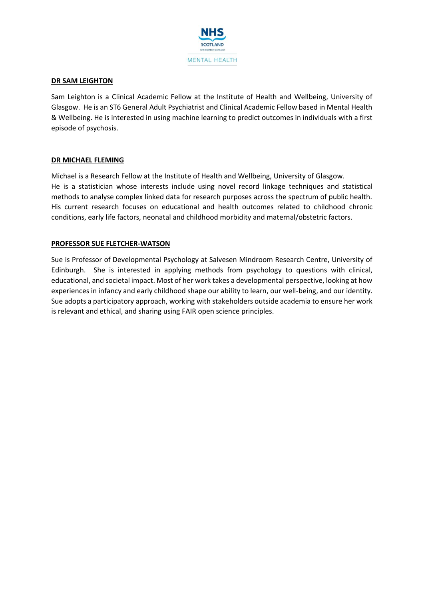

#### **DR SAM LEIGHTON**

Sam Leighton is a Clinical Academic Fellow at the Institute of Health and Wellbeing, University of Glasgow. He is an ST6 General Adult Psychiatrist and Clinical Academic Fellow based in Mental Health & Wellbeing. He is interested in using machine learning to predict outcomes in individuals with a first episode of psychosis.

#### **DR MICHAEL FLEMING**

Michael is a Research Fellow at the Institute of Health and Wellbeing, University of Glasgow. He is a statistician whose interests include using novel record linkage techniques and statistical methods to analyse complex linked data for research purposes across the spectrum of public health. His current research focuses on educational and health outcomes related to childhood chronic conditions, early life factors, neonatal and childhood morbidity and maternal/obstetric factors.

#### **PROFESSOR SUE FLETCHER-WATSON**

Sue is Professor of Developmental Psychology at Salvesen Mindroom Research Centre, University of Edinburgh. She is interested in applying methods from psychology to questions with clinical, educational, and societal impact. Most of her work takes a developmental perspective, looking at how experiences in infancy and early childhood shape our ability to learn, our well-being, and our identity. Sue adopts a participatory approach, working with stakeholders outside academia to ensure her work is relevant and ethical, and sharing using FAIR open science principles.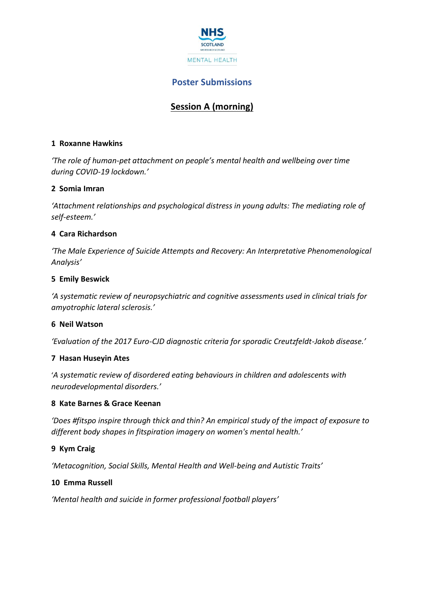

## **Poster Submissions**

# **Session A (morning)**

### **1 Roxanne Hawkins**

*'The role of human-pet attachment on people's mental health and wellbeing over time during COVID-19 lockdown.'*

### **2 Somia Imran**

*'Attachment relationships and psychological distress in young adults: The mediating role of self-esteem.'*

### **4 Cara Richardson**

*'The Male Experience of Suicide Attempts and Recovery: An Interpretative Phenomenological Analysis'*

### **5 Emily Beswick**

*'A systematic review of neuropsychiatric and cognitive assessments used in clinical trials for amyotrophic lateral sclerosis.'*

### **6 Neil Watson**

*'Evaluation of the 2017 Euro-CJD diagnostic criteria for sporadic Creutzfeldt-Jakob disease.'*

#### **7 Hasan Huseyin Ates**

'*A systematic review of disordered eating behaviours in children and adolescents with neurodevelopmental disorders.'*

### **8 Kate Barnes & Grace Keenan**

*'Does #fitspo inspire through thick and thin? An empirical study of the impact of exposure to different body shapes in fitspiration imagery on women's mental health.'*

#### **9 Kym Craig**

*'Metacognition, Social Skills, Mental Health and Well-being and Autistic Traits'*

### **10 Emma Russell**

*'Mental health and suicide in former professional football players'*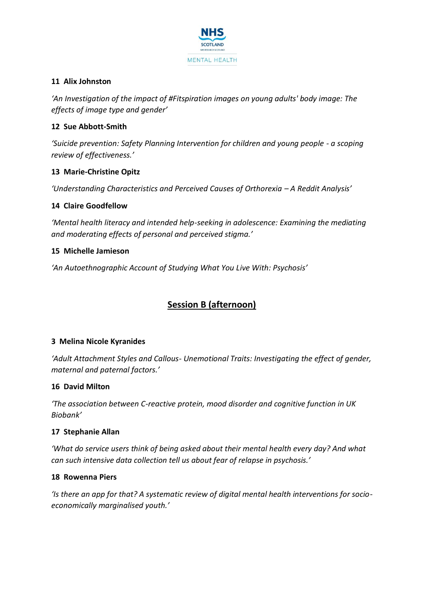

### **11 Alix Johnston**

*'An Investigation of the impact of #Fitspiration images on young adults' body image: The effects of image type and gender'*

### **12 Sue Abbott-Smith**

*'Suicide prevention: Safety Planning Intervention for children and young people - a scoping review of effectiveness.'*

### **13 Marie-Christine Opitz**

*'Understanding Characteristics and Perceived Causes of Orthorexia – A Reddit Analysis'*

### **14 Claire Goodfellow**

*'Mental health literacy and intended help-seeking in adolescence: Examining the mediating and moderating effects of personal and perceived stigma.'*

### **15 Michelle Jamieson**

*'An Autoethnographic Account of Studying What You Live With: Psychosis'*

# **Session B (afternoon)**

### **3 Melina Nicole Kyranides**

*'Adult Attachment Styles and Callous- Unemotional Traits: Investigating the effect of gender, maternal and paternal factors.'*

### **16 David Milton**

*'The association between C-reactive protein, mood disorder and cognitive function in UK Biobank'*

### **17 Stephanie Allan**

*'What do service users think of being asked about their mental health every day? And what can such intensive data collection tell us about fear of relapse in psychosis.'*

### **18 Rowenna Piers**

*'Is there an app for that? A systematic review of digital mental health interventions for socioeconomically marginalised youth.'*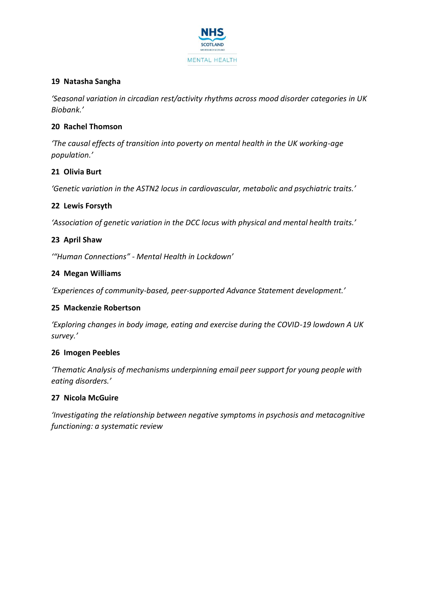

### **19 Natasha Sangha**

*'Seasonal variation in circadian rest/activity rhythms across mood disorder categories in UK Biobank.'*

### **20 Rachel Thomson**

*'The causal effects of transition into poverty on mental health in the UK working-age population.'*

### **21 Olivia Burt**

*'Genetic variation in the ASTN2 locus in cardiovascular, metabolic and psychiatric traits.'*

### **22 Lewis Forsyth**

*'Association of genetic variation in the DCC locus with physical and mental health traits.'*

### **23 April Shaw**

*'"Human Connections" - Mental Health in Lockdown'*

#### **24 Megan Williams**

*'Experiences of community-based, peer-supported Advance Statement development.'*

#### **25 Mackenzie Robertson**

*'Exploring changes in body image, eating and exercise during the COVID-19 lowdown A UK survey.'*

#### **26 Imogen Peebles**

*'Thematic Analysis of mechanisms underpinning email peer support for young people with eating disorders.'*

#### **27 Nicola McGuire**

*'Investigating the relationship between negative symptoms in psychosis and metacognitive functioning: a systematic review*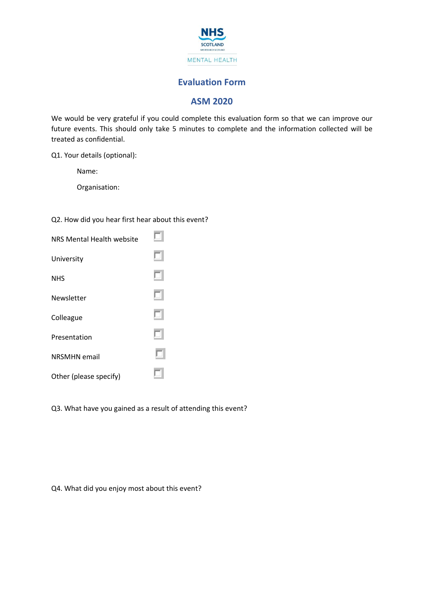

### **Evaluation Form**

## **ASM 2020**

We would be very grateful if you could complete this evaluation form so that we can improve our future events. This should only take 5 minutes to complete and the information collected will be treated as confidential.

Q1. Your details (optional):

Name:

Organisation:

Q2. How did you hear first hear about this event?

| NRS Mental Health website |  |
|---------------------------|--|
| University                |  |
| <b>NHS</b>                |  |
| <b>Newsletter</b>         |  |
| Colleague                 |  |
| Presentation              |  |
| <b>NRSMHN</b> email       |  |
| Other (please specify)    |  |

Q3. What have you gained as a result of attending this event?

Q4. What did you enjoy most about this event?